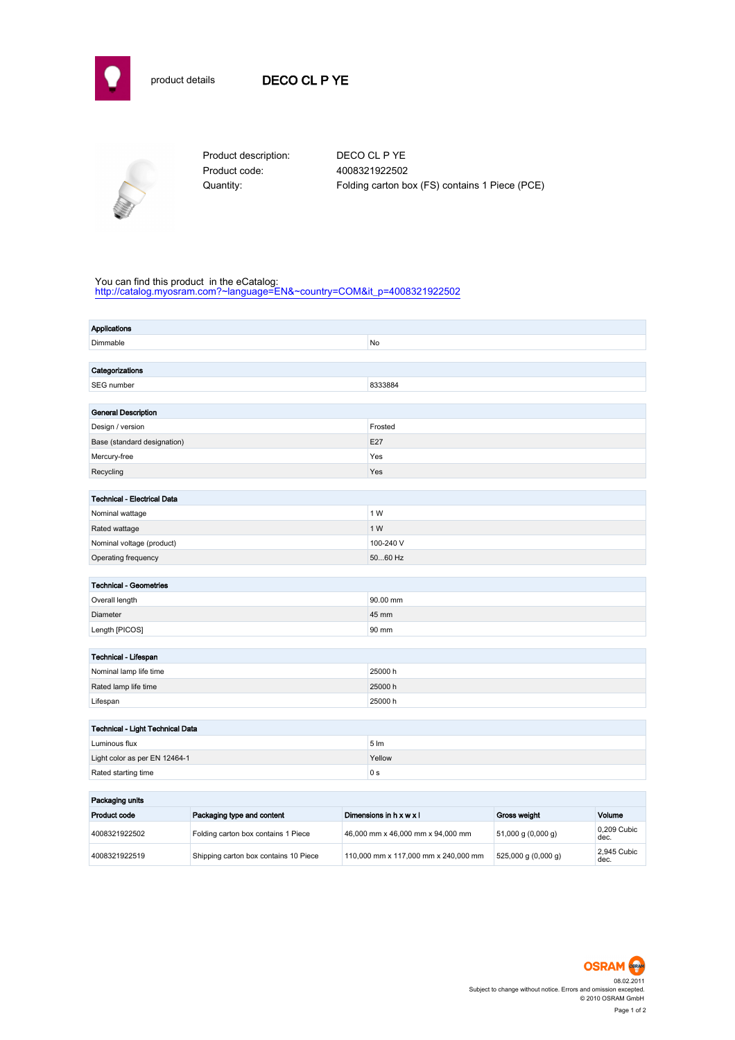



Product code: 4008321922502

Product description: DECO CL P YE Quantity: Folding carton box (FS) contains 1 Piece (PCE)

## You can find this product in the eCatalog:

[http://catalog.myosram.com?~language=EN&~country=COM&it\\_p=4008321922502](http://catalog.myosram.com?~language=EN&~country=COM&it_p=4008321922502)

| Applications                       |                  |
|------------------------------------|------------------|
| Dimmable                           | No               |
|                                    |                  |
| Categorizations                    |                  |
| SEG number                         | 8333884          |
|                                    |                  |
| <b>General Description</b>         |                  |
| Design / version                   | Frosted          |
| Base (standard designation)        | E27              |
| Mercury-free                       | Yes              |
| Recycling                          | Yes              |
|                                    |                  |
| <b>Technical - Electrical Data</b> |                  |
| Nominal wattage                    | 1 W              |
| Rated wattage                      | 1 W              |
| Nominal voltage (product)          | 100-240 V        |
| Operating frequency                | 5060 Hz          |
|                                    |                  |
| <b>Technical - Geometries</b>      |                  |
| Overall length                     | 90.00 mm         |
| Diameter                           | 45 mm            |
| Length [PICOS]                     | 90 mm            |
|                                    |                  |
| Technical - Lifespan               |                  |
| Nominal lamp life time             | 25000 h          |
| Rated lamp life time               | 25000h           |
| Lifespan                           | 25000h           |
|                                    |                  |
| Technical - Light Technical Data   |                  |
| Luminous flux                      | $5 \, \text{Im}$ |
| Light color as per EN 12464-1      | Yellow           |
| Rated starting time                | 0 <sub>s</sub>   |
| .                                  |                  |

| Packaging units |                                       |                                      |                        |                     |  |
|-----------------|---------------------------------------|--------------------------------------|------------------------|---------------------|--|
| Product code    | Packaging type and content            | Dimensions in h x w x l              | <b>Gross weight</b>    | Volume              |  |
| 4008321922502   | Folding carton box contains 1 Piece   | 46,000 mm x 46,000 mm x 94,000 mm    | $51,000$ g $(0,000$ g) | 0.209 Cubic<br>dec. |  |
| 4008321922519   | Shipping carton box contains 10 Piece | 110.000 mm x 117.000 mm x 240.000 mm | $525,000$ g (0,000 g)  | 2.945 Cubic<br>dec. |  |